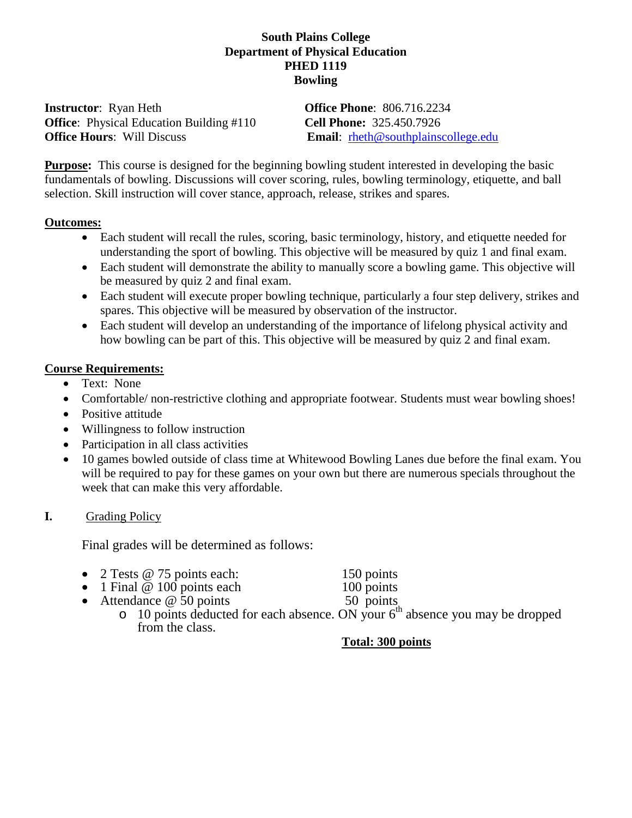## **South Plains College Department of Physical Education PHED 1119 Bowling**

**Instructor**: Ryan Heth **Office Phone**: 806.716.2234 **Office**: Physical Education Building #110 **Cell Phone:** 325.450.7926 **Office Hours:** Will Discuss **Email:** rheth@southplainscollege.edu

**Purpose:** This course is designed for the beginning bowling student interested in developing the basic fundamentals of bowling. Discussions will cover scoring, rules, bowling terminology, etiquette, and ball selection. Skill instruction will cover stance, approach, release, strikes and spares.

#### **Outcomes:**

- Each student will recall the rules, scoring, basic terminology, history, and etiquette needed for understanding the sport of bowling. This objective will be measured by quiz 1 and final exam.
- Each student will demonstrate the ability to manually score a bowling game. This objective will be measured by quiz 2 and final exam.
- Each student will execute proper bowling technique, particularly a four step delivery, strikes and spares. This objective will be measured by observation of the instructor.
- Each student will develop an understanding of the importance of lifelong physical activity and how bowling can be part of this. This objective will be measured by quiz 2 and final exam.

## **Course Requirements:**

- Text: None
- Comfortable/ non-restrictive clothing and appropriate footwear. Students must wear bowling shoes!
- Positive attitude
- Willingness to follow instruction
- Participation in all class activities
- 10 games bowled outside of class time at Whitewood Bowling Lanes due before the final exam. You will be required to pay for these games on your own but there are numerous specials throughout the week that can make this very affordable.

## **I.** Grading Policy

Final grades will be determined as follows:

- 2 Tests @ 75 points each: 150 points<br>
1 Final @ 100 points each 100 points
- 1 Final  $@$  100 points each
- Attendance  $\omega$  50 points 50 points
	- $\circ$  10 points deducted for each absence. ON your  $6<sup>th</sup>$  absence you may be dropped from the class.

## **Total: 300 points**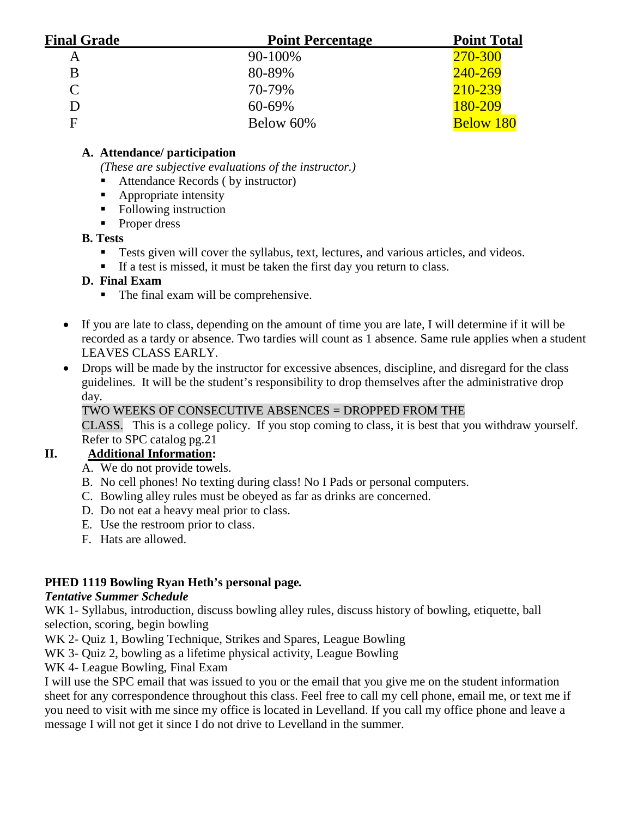| <b>Final Grade</b> | <b>Point Percentage</b> | <b>Point Total</b> |
|--------------------|-------------------------|--------------------|
| Α                  | 90-100%                 | 270-300            |
| B                  | 80-89%                  | 240-269            |
| $\mathcal{C}$      | 70-79%                  | 210-239            |
| D                  | $60 - 69\%$             | 180-209            |
| F                  | Below 60%               | <b>Below 180</b>   |

# **A. Attendance/ participation**

*(These are subjective evaluations of the instructor.)*

- Attendance Records ( by instructor)
- Appropriate intensity
- Following instruction
- Proper dress

# **B. Tests**

- Tests given will cover the syllabus, text, lectures, and various articles, and videos.
- If a test is missed, it must be taken the first day you return to class.

# **D. Final Exam**

- The final exam will be comprehensive.
- If you are late to class, depending on the amount of time you are late, I will determine if it will be recorded as a tardy or absence. Two tardies will count as 1 absence. Same rule applies when a student LEAVES CLASS EARLY.
- Drops will be made by the instructor for excessive absences, discipline, and disregard for the class guidelines. It will be the student's responsibility to drop themselves after the administrative drop day.

# TWO WEEKS OF CONSECUTIVE ABSENCES = DROPPED FROM THE

CLASS. This is a college policy. If you stop coming to class, it is best that you withdraw yourself. Refer to SPC catalog pg.21

# **II. Additional Information:**

- A. We do not provide towels.
- B. No cell phones! No texting during class! No I Pads or personal computers.
- C. Bowling alley rules must be obeyed as far as drinks are concerned.
- D. Do not eat a heavy meal prior to class.
- E. Use the restroom prior to class.
- F. Hats are allowed.

# **PHED 1119 Bowling Ryan Heth's personal page***.*

# *Tentative Summer Schedule*

WK 1- Syllabus, introduction, discuss bowling alley rules, discuss history of bowling, etiquette, ball selection, scoring, begin bowling

WK 2- Quiz 1, Bowling Technique, Strikes and Spares, League Bowling

WK 3- Quiz 2, bowling as a lifetime physical activity, League Bowling

WK 4- League Bowling, Final Exam

I will use the SPC email that was issued to you or the email that you give me on the student information sheet for any correspondence throughout this class. Feel free to call my cell phone, email me, or text me if you need to visit with me since my office is located in Levelland. If you call my office phone and leave a message I will not get it since I do not drive to Levelland in the summer.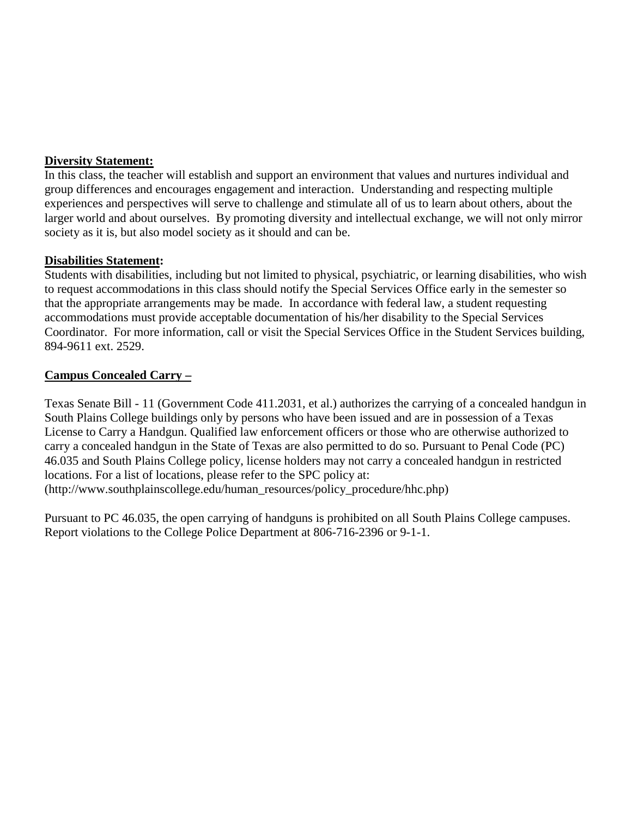#### **Diversity Statement:**

In this class, the teacher will establish and support an environment that values and nurtures individual and group differences and encourages engagement and interaction. Understanding and respecting multiple experiences and perspectives will serve to challenge and stimulate all of us to learn about others, about the larger world and about ourselves. By promoting diversity and intellectual exchange, we will not only mirror society as it is, but also model society as it should and can be.

#### **Disabilities Statement:**

Students with disabilities, including but not limited to physical, psychiatric, or learning disabilities, who wish to request accommodations in this class should notify the Special Services Office early in the semester so that the appropriate arrangements may be made.In accordance with federal law, a student requesting accommodations must provide acceptable documentation of his/her disability to the Special Services Coordinator. For more information, call or visit the Special Services Office in the Student Services building, 894-9611 ext. 2529.

#### **Campus Concealed Carry –**

Texas Senate Bill - 11 (Government Code 411.2031, et al.) authorizes the carrying of a concealed handgun in South Plains College buildings only by persons who have been issued and are in possession of a Texas License to Carry a Handgun. Qualified law enforcement officers or those who are otherwise authorized to carry a concealed handgun in the State of Texas are also permitted to do so. Pursuant to Penal Code (PC) 46.035 and South Plains College policy, license holders may not carry a concealed handgun in restricted locations. For a list of locations, please refer to the SPC policy at: (http://www.southplainscollege.edu/human\_resources/policy\_procedure/hhc.php)

Pursuant to PC 46.035, the open carrying of handguns is prohibited on all South Plains College campuses. Report violations to the College Police Department at 806-716-2396 or 9-1-1.